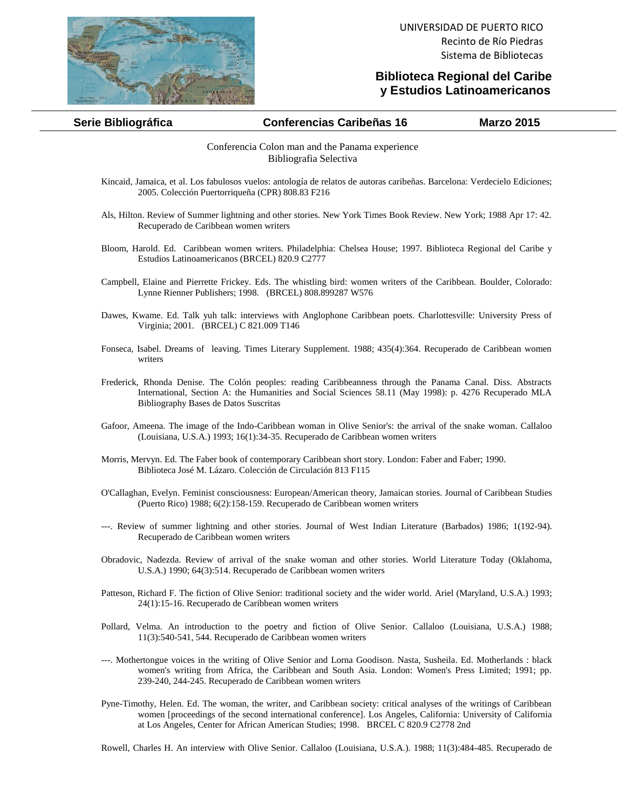

## **Biblioteca Regional del Caribe y Estudios Latinoamericanos**

## **Serie Bibliográfica Conferencias Caribeñas 16 Marzo 2015**

Conferencia Colon man and the Panama experience Bibliografia Selectiva

- Kincaid, Jamaica, et al. Los fabulosos vuelos: antología de relatos de autoras caribeñas. Barcelona: Verdecielo Ediciones; 2005. Colección Puertorriqueña (CPR) 808.83 F216
- Als, Hilton. Review of Summer lightning and other stories. New York Times Book Review. New York; 1988 Apr 17: 42. Recuperado de Caribbean women writers
- Bloom, Harold. Ed. Caribbean women writers. Philadelphia: Chelsea House; 1997. Biblioteca Regional del Caribe y Estudios Latinoamericanos (BRCEL) 820.9 C2777
- Campbell, Elaine and Pierrette Frickey. Eds. The whistling bird: women writers of the Caribbean. Boulder, Colorado: Lynne Rienner Publishers; 1998. (BRCEL) 808.899287 W576
- Dawes, Kwame. Ed. Talk yuh talk: interviews with Anglophone Caribbean poets. Charlottesville: University Press of Virginia; 2001. (BRCEL) C 821.009 T146
- Fonseca, Isabel. Dreams of leaving. Times Literary Supplement. 1988; 435(4):364. Recuperado de Caribbean women writers
- Frederick, Rhonda Denise. The Colón peoples: reading Caribbeanness through the Panama Canal. Diss. Abstracts International, Section A: the Humanities and Social Sciences 58.11 (May 1998): p. 4276 Recuperado MLA Bibliography Bases de Datos Suscritas
- Gafoor, Ameena. The image of the Indo-Caribbean woman in Olive Senior's: the arrival of the snake woman. Callaloo (Louisiana, U.S.A.) 1993; 16(1):34-35. Recuperado de Caribbean women writers
- Morris, Mervyn. Ed. The Faber book of contemporary Caribbean short story. London: Faber and Faber; 1990. Biblioteca José M. Lázaro. Colección de Circulación 813 F115
- O'Callaghan, Evelyn. Feminist consciousness: European/American theory, Jamaican stories. Journal of Caribbean Studies (Puerto Rico) 1988; 6(2):158-159. Recuperado de Caribbean women writers
- ---. Review of summer lightning and other stories. Journal of West Indian Literature (Barbados) 1986; 1(192-94). Recuperado de Caribbean women writers
- Obradovic, Nadezda. Review of arrival of the snake woman and other stories. World Literature Today (Oklahoma, U.S.A.) 1990; 64(3):514. Recuperado de Caribbean women writers
- Patteson, Richard F. The fiction of Olive Senior: traditional society and the wider world. Ariel (Maryland, U.S.A.) 1993; 24(1):15-16. Recuperado de Caribbean women writers
- Pollard, Velma. An introduction to the poetry and fiction of Olive Senior. Callaloo (Louisiana, U.S.A.) 1988; 11(3):540-541, 544. Recuperado de Caribbean women writers
- ---. Mothertongue voices in the writing of Olive Senior and Lorna Goodison. Nasta, Susheila. Ed. Motherlands : black women's writing from Africa, the Caribbean and South Asia. London: Women's Press Limited; 1991; pp. 239-240, 244-245. Recuperado de Caribbean women writers
- Pyne-Timothy, Helen. Ed. The woman, the writer, and Caribbean society: critical analyses of the writings of Caribbean women [proceedings of the second international conference]. Los Angeles, California: University of California at Los Angeles, Center for African American Studies; 1998. BRCEL C 820.9 C2778 2nd

Rowell, Charles H. An interview with Olive Senior. Callaloo (Louisiana, U.S.A.). 1988; 11(3):484-485. Recuperado de